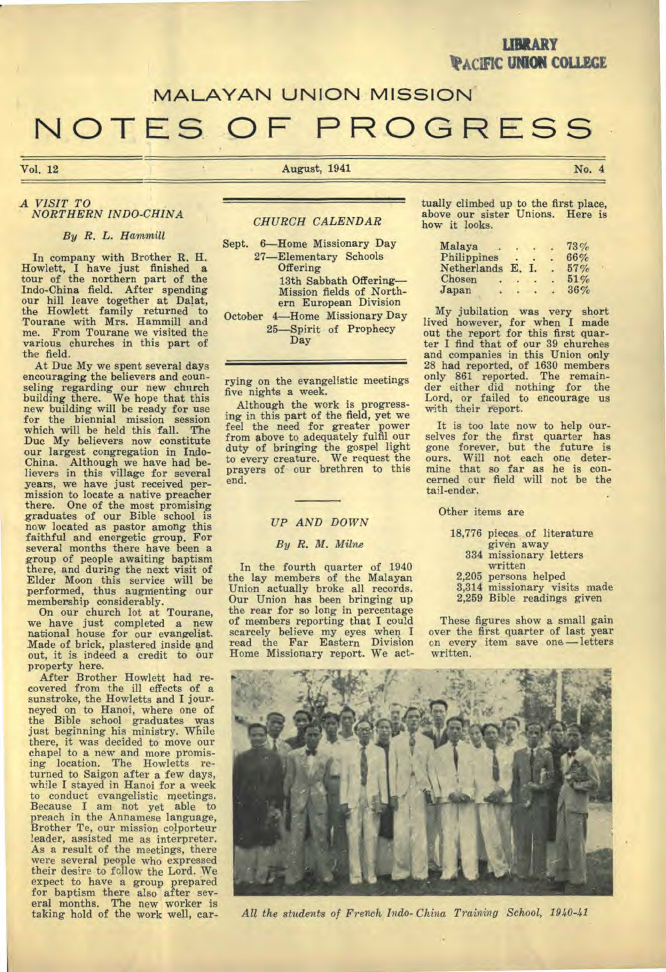## **LIBRARY PACIFIC UNION COLLEGE**

# **MALAYAN UNION MISSION**

# **NOTES OF PROGRESS**

Vol. 12 No. 4 Nugust, 1941 No. 4

#### *A VISIT TO NORTHERN INDO-CHINA*

### *By R. L. Hammill*

In company with Brother R. H. Howlett, I have just finished a tour of the northern part of the Indo-China field. After spending our hill leave together at Dalat, the Howlett family returned to Tourane with Mrs. Hammill and me. From Tourane we visited the various churches in this part of the field.

At Duc My we spent several days encouraging the believers and counseling regarding our new church building there. We hope that this new building will be ready for use for the biennial mission session which will be held this fall. The Duc My believers now constitute our largest congregation in Indo-China. Although we have had be-lievers in this village for several years, we have just received permission to locate a native preacher there. One of the most promising graduates of our Bible school is now located as pastor among this faithful and energetic group. For several months there have been a group of people awaiting baptism there, and during the next visit of Elder Moon this service will be performed, thus augmenting our

membership considerably. On our church lot at Tourane, we have just completed a new national house for our evangelist. Made of brick, plastered inside and out, it is indeed a credit to our property here.

After Brother Howlett had recovered from the ill effects of a sunstroke, the Howletts and I journeyed on to Hanoi, where one of the Bible school graduates was just beginning his ministry. While there, it was decided to move our chapel to a new and more promis-ing location. The Howletts returned to Saigon after a few days, while I stayed in Hanoi for a week to conduct evangelistic meetings. Because I am not yet able to preach in the Annamese language, Brother Te, our mission colporteur leader, assisted me as interpreter. As a result of the meetings, there were several people who expressed their desire to follow the Lord. We expect to have a group prepared for baptism there also after several months. The new worker is taking hold of the work well, car-

#### *CHURCH CALENDAR*

Sept. 6—Home Missionary Day 27—Elementary Schools **Offering** 13th Sabbath Offering— Mission fields of Northern European Division October 4—Home Missionary Day 25—Spirit of Prophecy

Day

rying on the evangelistic meetings five nights a week.

Although the work is progressing in this part of the field, yet we feel the need for greater power from above to adequately fulfil our duty of bringing the gospel light to every creature. We request the prayers of our brethren to this end.

#### *UP AND DOWN*

#### *By R. M. Milne*

In the fourth quarter of 1940 the lay members of the Malayan Union actually broke all records. Our Union has been bringing up the rear for so long in percentage of members reporting that I could scarcely believe my eyes when I read the Far Eastern Division Home Missionary report. We act-

tually climbed up to the first place, above our sister Unions. Here is how it looks.

| Malaya      |    |    |   | 73% |
|-------------|----|----|---|-----|
| Philippines |    |    | ٠ | 66% |
| Netherlands | E. | Т. |   | 57% |
| Chosen      |    |    |   | 51% |
| Japan       |    |    |   | 36% |

My jubilation was very short lived however, for when I made out the report for this first quarter I find that of our 39 churches and companies in this Union only 28 had reported, of 1630 members only 861 reported. The remain-der either did nothing for the Lord, or failed to encourage us with their report.

It is too late now to help our-selves for the first quarter has gone forever, but the future is ours. Will not each one determine that so far as he is concerned cur field will not be the tail-ender.

Other items are

- 18,776 pieces of literature given away
	- 334 missionary letters written
- 2,205 persons helped
- 3,314 missionary visits made
- 2,259 Bible readings given

These figures show a small gain over the first quarter of last year on every item save one — letters written.



*All the students of French Indo-China Training School, 1940-41*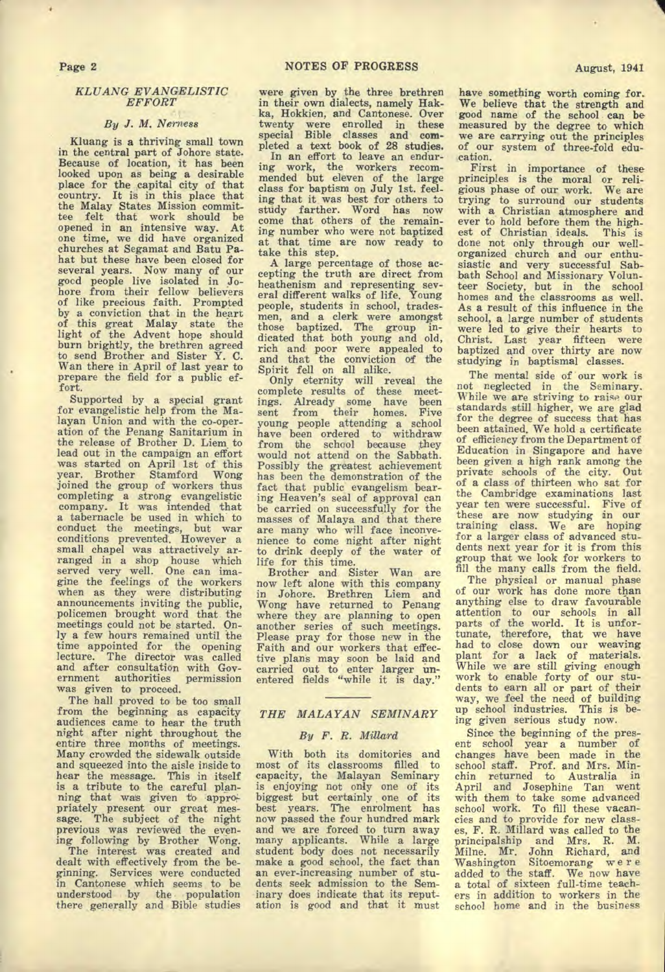Page 2

#### *KLUANG EVANGELISTIC EFFORT*

#### *By J. M. Nerness*

Kluang is a thriving small town in the central part of Johore state. Because of location, it has been looked upon as being a desirable place for the capital city of that country. It is in this place that the Malay States Mission commit-tee felt that work should be opened in an intensive way. At one time, we did have organized churches at Segamat and Batu Pahat but these have been closed for several years. Now many of our gocd people live isolated in Johore from their fellow believers of like precious faith. Prompted by a conviction that in the heart of this great Malay state the light of the Advent hope should burn brightly, the brethren agreed to send Brother and Sister Y. C. Wan there in April of last year to prepare the field for a public effort.

Supported by a special grant for evangelistic help from the Malayan Union *and* with the co-operation of the Penang Sanitarium in the release of Brother D. Liem. to lead out in the campaign an effort was started on April 1st of this year. Brother Stamford Wong joined the group of workers thus completing a strong evangelistic company. It was intended that a tabernacle be used in which to conduct the meetings, but war conditions prevented. However a small chapel was attractively arranged in a shop house which served very well. One can imagine the feelings of the workers when as they were distributing announcements inviting the public, policemen brought word that the meetings could not be started. Only a few hours remained until the time appointed for the opening lecture. The director was called and after consultation with Government authorities permission was given to proceed.

The hall proved to be too small from the beginning as capacity audiences came to hear the truth night after night throughout the entire three months of meetings. Many crowded the sidewalk outside and squeezed into the aisle inside to hear the message. This in itself is a tribute to the careful planning that was given to appropriately present our great message. The subject of the night previous was reviewed the evening following by Brother Wong.

The interest was created and dealt with effectively from the beginning. Services were conducted in Cantonese which seems to be understood by the population there *generally* and Bible studies

were given by the three brethren in their own dialects, namely Hakka, Hokkien, and Cantonese. Over twenty were enrolled in these special Bible classes and completed a text book of 28 studies.

In an effort to leave an enduring work, the workers recommended but eleven of the large class for baptism on July 1st. feeling that it was best for others to study farther. Word has now come that others of the remaining number who were not baptized at that time are now ready to take this step.

A large percentage of those accepting the truth are direct from heathenism and representing sev-eral different walks of life. Young people, students in school, tradesmen, and a clerk were amongst those baptized. The group indicated that both young and old, rich and poor were appealed to and that the conviction of *the*  Spirit fell on all alike.

Only eternity will reveal the complete results of these meetings. Already some have been sent from their homes. Five young people attending a school have been ordered to withdraw from the school because they would not attend on the Sabbath. Possibly the greatest achievement has been the demonstration of the fact that public evangelism bearing Heaven's seal of approval can be carried on successfully for the masses of Malaya and that there are many who will face inconyenience to come night after night to drink deeply of the water of life for this time.

Brother and Sister Wan are now left alone with this company in Johore. Brethren Liem and Wong have returned to Penang where they are planning to open another series of such meetings. Please pray for those new in the Faith and our workers that effective plans may soon be laid and carried out to enter larger unentered fields "while it is day."

#### *THE MALAYAN SEMINARY*

#### *By F. R. Millard*

With both its domitories and most of its classrooms filled to capacity, the Malayan Seminary is enjoying not only one of its biggest but certainly , one of its best years. The enrolment has now passed the four hundred mark and we are forced to turn away many applicants. While a large student body does not necessarily make a good school, the fact than an ever-increasing number of students seek admission to the Seminary does indicate that its reputation is good and that it must

First in importance of these principles is the moral or religious phase of our work. We are trying to surround our students with a Christian atmosphere and ever to hold before them the high-est of Christian ideals. This is done not only through our wellorganized church and our enthusiastic and very successful Sab-bath School and Missionary Volunteer Society, but in the school homes and the classrooms as well. As *a* result of this influence in the school, a large number of students were led to give their hearts to Christ. Last year fifteen were baptized and over thirty are now studying in baptismal classes.

The mental side of our work is not neglected in the Seminary. While we are striving to raise our standards still higher, we are glad for the degree of success that has been attained. We hold a certificate of efficiency from the Department of Education in Singapore and have been given a high rank among the private schools of the city. Out of a class of thirteen who sat for the Cambridge examinations last year ten were successful. Five of these are now studying in our training class. We are hoping for a larger class of advanced students next year for it is from this group that we look for workers to fill the many calls from the field.

The physical or manual phase of our work has done more than anything else to draw favourable attention to our schools in all parts of the world. It is unfortunate, therefore, that we have had to close down our weaving plant for a lack of materials. While we are still giving enough work to enable forty of our students to earn all or part of their way, we feel the need of building up school industries. This is being given serious study now.

Since the beginning of the present school year a number of changes have been made in the school staff. Prof. and Mrs. Minchin returned to Australia in April and Josephine Tan went with them to take some advanced school work. To fill these vacancies and to provide for new classes, F. R. Millard was called to the principalship and Mrs. R. M. Milne. Mr. John Richard, and Washington Sitoemorang we r e added to the staff. We now have a total of sixteen full-time teachers in addition to workers in the school home and in the business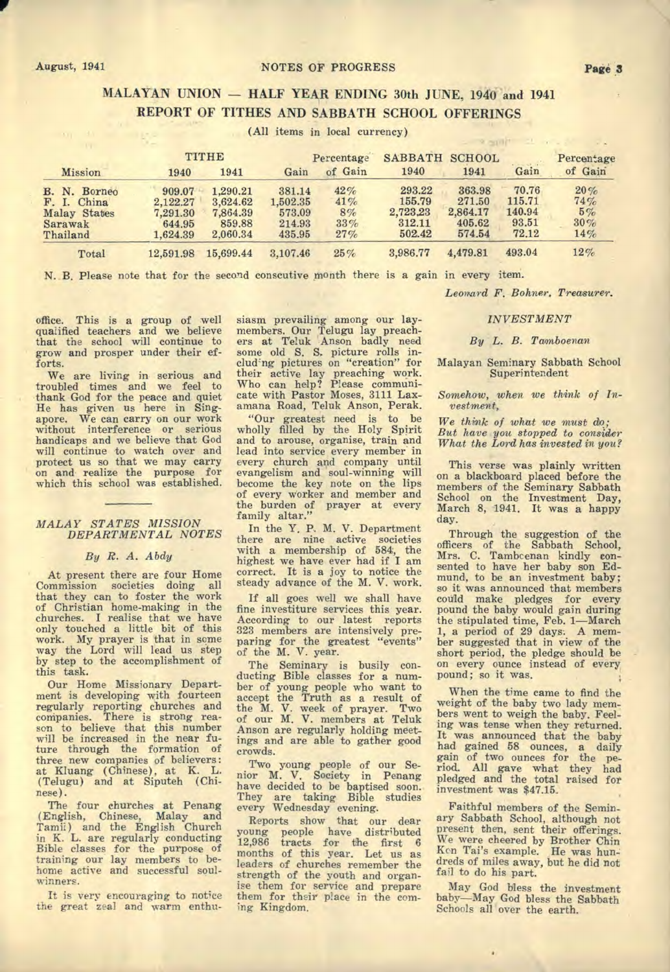#### August, 1941 **NOTES OF PROGRESS Page 3**

# **MALAYAN UNION — HALF YEAR ENDING 30th JUNE, 1940 and 1941 REPORT OF TITHES AND SABBATH SCHOOL OFFERINGS**

| <b>Mission</b>      | TITHE     |           | Percentage |         | <b>SABBATH</b> | <b>SCHOOL</b> |        | Percentage |
|---------------------|-----------|-----------|------------|---------|----------------|---------------|--------|------------|
|                     | 1940      | 1941      | Gain       | of Gain | 1940           | 1941          | Gain   | of Gain    |
| B. N. Borneo        | 909.07    | 1.290.21  | 381.14     | 42%     | 293.22         | 363.98        | 70.76  | 20%        |
| F. I. China         | 2,122.27  | 3.624.62  | 1,502.35   | 41%     | 155.79         | 271.50        | 115.71 | 74%        |
| <b>Malay States</b> | 7,291.30  | 7,864.39  | 573.09     | 8%      | 2,723,23       | 2,864.17      | 140.94 | 5%         |
| Sarawak             | 644.95    | 859.88    | 214.93     | 33%     | 312.11         | 405.62        | 93.51  | 30%        |
| Thailand            | 1,624.39  | 2,060.34  | 435.95     | 27%     | 502.42         | 574.54        | 72.12  | 14%        |
| Total               | 12,591.98 | 15,699.44 | 3,107.46   | 25%     | 3,986.77       | 4,479.81      | 493.04 | 12%        |

(All items in local currency)

N. B. Please note that for the second conscutive month there is a gain in every item.

*Leonard F. Bohner. Treasurer.* 

office. This is a group of well qualified teachers and we believe that the school will continue to grow and prosper under their efforts.

We are living in serious and troubled times and we feel to thank God for the peace and quiet He has given us here in Singapore. We can carry on our work without interference or serious handicaps and we believe that God will continue to watch over and protect us so that we may carry on and realize the purpose for which this school was established.

#### *MALAY STATES MISSION DEPARTMENTAL NOTES*

#### *By R. A. Abdy*

At present there are four Home Commission societies doing all that they can to foster the work of Christian home-making in the churches. I realise that we have only touched a little bit of this work. My prayer is that in some way the Lord will lead us step by step to the accomplishment of this task.

Our Home Missionary Department is developing with fourteen regularly reporting churches and companies. There is strong reason to believe that this number will be increased in the near future through the formation of three new companies of believers: at Kluang (Chinese), at K. L. (Telugu) and at Siputeh (Chinese).

The four churches at Penang (English, Chinese, Malay and Tamil) and the English Church in K. L. are regularly conducting Bible classes for the purpose of training our lay members to behome active and successful soulwinners.

It is very encouraging to notice the great zeal and warm enthu-

siasm prevailing among our laymembers. Our Telugu lay preach-ers at Teluk Anson badly need some old S. S. picture rolls in-clud'ng pictures on "creation" for their active lay preaching work. Who can help? Please communicate with Pastor Moses, 3111 Laxamana Road, Teluk Anson, Perak.

"Our greatest need is to be wholly filled by the Holy Spirit and to arouse, organise, train and lead into service every member in every church and company until evangelism and soul-winning will become the key note on the lips of every worker and member and the burden of prayer at every family altar."

In the Y. P. M. V. Department there are nine active societies with a membership of 584, the highest we have ever had if I am correct. It is a joy to notice the steady advance of the M. V. work.

If all goes well we shall have fine investiture services this year. According to our latest reports 323 members are intensively pre-paring for the greatest "events" of the M. V. year.

The Seminary is busily conducting Bible classes for a number of young people who want to accept the Truth as a result of the M. V. week of prayer. Two of our N. V. members at Teluk Anson are regularly holding meetings and are able to gather good crowds.

Two young people of our Se-nior M. V. Society in Penang have decided to be baptised soon.. They are taking Bible studies every Wednesday evening.

Reports show that our dear young people have distributed 12,986 tracts for the first 6 months of this year. Let us as leaders of churches remember the strength of the youth and organise them for service and prepare them for their place in the coming Kingdom.

*INVESTMENT* 

#### *By L. B. Tamboenan*

#### Malayan Seminary Sabbath School Superintendent

*Somehow, when we think of Investment,* 

*We think of what we* must do; *But have you stopped to consider What the Lord has invested in you?* 

This verse was plainly written on a blackboard placed before the members of the Seminary Sabbath School on the Investment Day, March 8, 1941. It was a happy day.

Through the suggestion of the officers of the Sabbath School, Mrs. C. Tambcenan kindly consented to have her baby son Edmund, to be an investment baby; so it was announced that members could make pledges for every pound the baby would gain during the stipulated time, Feb. 1—March 1, a period of 29 days. A member suggested that in view of the short period, the pledge should be on every ounce instead of every pound; so it was.

When the time came to find the weight of the baby two lady members went to weigh the baby. Feeling was tense when they returned. It was announced that the baby had gained 58 ounces, a daily gain of two ounces for the period.. All *gave* what they had pledged and the total raised for investment was \$47.15.

Faithful members of the Seminary Sabbath School, although not present then, sent their offerings. We were cheered by Brother Chin Ken Tai's example. He was hundreds of miles away, but he did not fail to do his part.

May God bless the investment baby—May God bless the Sabbath Schools all over the earth.